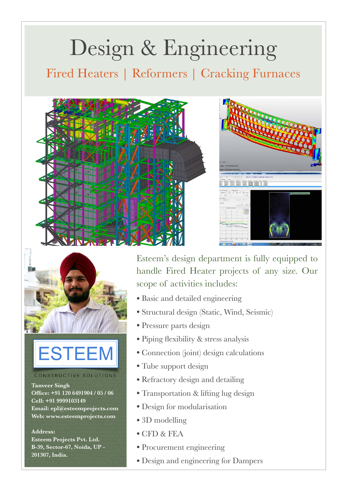# Design & Engineering

Fired Heaters | Reformers | Cracking Furnaces





## **ESTEEM**

#### CONSTRUCTIVE SOLUTIONS

**Tanveer Singh Office: +91 120 6491904 / 05 / 06 Cell: +91 9999103149 Email: epl@esteemprojects.com Web: www.esteemprojects.com**

**Address: Esteem Projects Pvt. Ltd. B-39, Sector-67, Noida, UP - 201307, India.**

Esteem's design department is fully equipped to handle Fired Heater projects of any size. Our scope of activities includes:

 $\frac{15387}{18341}$   $\frac{16347}{18341}$   $\frac{1634}{18341}$   $\frac{253}{183}$   $\frac{1534}{1834}$ 

 $\begin{tabular}{c} \hline \multicolumn{1}{c}{\textbf{1.00}}\\[-0.2em] \multicolumn{1}{c}{\textbf{1.00}}\\[-0.2em] \multicolumn{1}{c}{\textbf{1.00}}\\[-0.2em] \multicolumn{1}{c}{\textbf{1.00}}\\[-0.2em] \multicolumn{1}{c}{\textbf{1.00}}\\[-0.2em] \multicolumn{1}{c}{\textbf{1.00}}\\[-0.2em] \multicolumn{1}{c}{\textbf{1.00}}\\[-0.2em] \multicolumn{1}{c}{\textbf{1.00}}\\[-0.2em] \multicolumn{1}{c}{$ 

- Basic and detailed engineering
- Structural design (Static, Wind, Seismic)
- Pressure parts design
- Piping flexibility & stress analysis
- Connection (joint) design calculations
- Tube support design
- Refractory design and detailing
- Transportation & lifting lug design
- Design for modularisation
- 3D modelling
- CFD & FEA
- Procurement engineering
- Design and engineering for Dampers